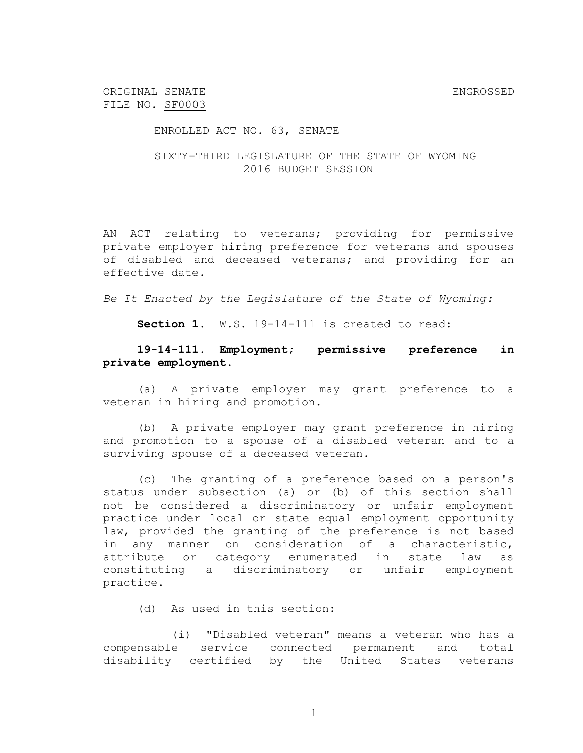ORIGINAL SENATE ENGROSSED FILE NO. SF0003

ENROLLED ACT NO. 63, SENATE

SIXTY-THIRD LEGISLATURE OF THE STATE OF WYOMING 2016 BUDGET SESSION

AN ACT relating to veterans; providing for permissive private employer hiring preference for veterans and spouses of disabled and deceased veterans; and providing for an effective date.

*Be It Enacted by the Legislature of the State of Wyoming:*

**Section 1.** W.S. 19-14-111 is created to read:

## **19-14-111. Employment; permissive preference in private employment.**

(a) A private employer may grant preference to a veteran in hiring and promotion.

(b) A private employer may grant preference in hiring and promotion to a spouse of a disabled veteran and to a surviving spouse of a deceased veteran.

(c) The granting of a preference based on a person's status under subsection (a) or (b) of this section shall not be considered a discriminatory or unfair employment practice under local or state equal employment opportunity law, provided the granting of the preference is not based in any manner on consideration of a characteristic, attribute or category enumerated in state law as constituting a discriminatory or unfair employment practice.

(d) As used in this section:

(i) "Disabled veteran" means a veteran who has a compensable service connected permanent and total disability certified by the United States veterans

1